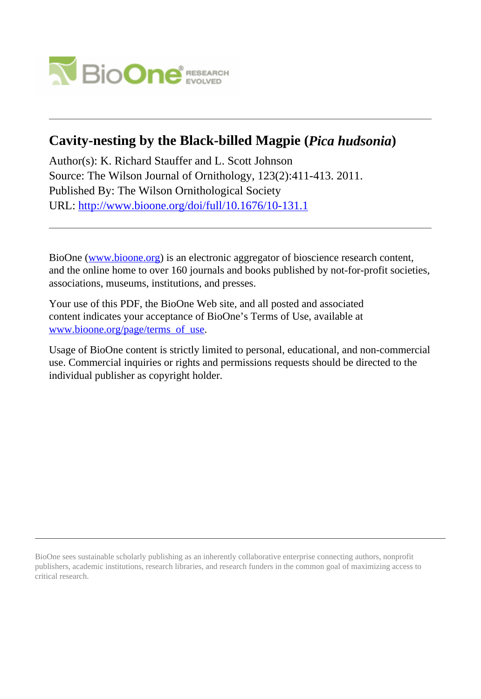

# **Cavity-nesting by the Black-billed Magpie (***Pica hudsonia***)**

Author(s): K. Richard Stauffer and L. Scott Johnson Source: The Wilson Journal of Ornithology, 123(2):411-413. 2011. Published By: The Wilson Ornithological Society URL: <http://www.bioone.org/doi/full/10.1676/10-131.1>

BioOne [\(www.bioone.org\)](http://www.bioone.org) is an electronic aggregator of bioscience research content, and the online home to over 160 journals and books published by not-for-profit societies, associations, museums, institutions, and presses.

Your use of this PDF, the BioOne Web site, and all posted and associated content indicates your acceptance of BioOne's Terms of Use, available at [www.bioone.org/page/terms\\_of\\_use](http://www.bioone.org/page/terms_of_use).

Usage of BioOne content is strictly limited to personal, educational, and non-commercial use. Commercial inquiries or rights and permissions requests should be directed to the individual publisher as copyright holder.

BioOne sees sustainable scholarly publishing as an inherently collaborative enterprise connecting authors, nonprofit publishers, academic institutions, research libraries, and research funders in the common goal of maximizing access to critical research.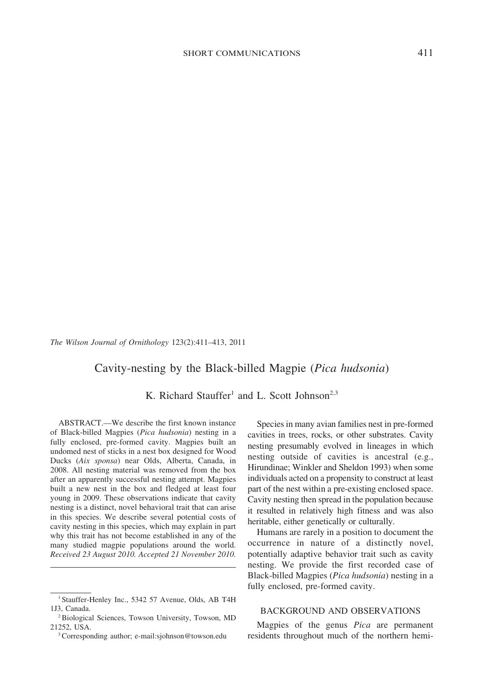The Wilson Journal of Ornithology 123(2):411–413, 2011

## Cavity-nesting by the Black-billed Magpie (Pica hudsonia)

K. Richard Stauffer<sup>1</sup> and L. Scott Johnson<sup>2,3</sup>

ABSTRACT.—We describe the first known instance of Black-billed Magpies (Pica hudsonia) nesting in a fully enclosed, pre-formed cavity. Magpies built an undomed nest of sticks in a nest box designed for Wood Ducks (Aix sponsa) near Olds, Alberta, Canada, in 2008. All nesting material was removed from the box after an apparently successful nesting attempt. Magpies built a new nest in the box and fledged at least four young in 2009. These observations indicate that cavity nesting is a distinct, novel behavioral trait that can arise in this species. We describe several potential costs of cavity nesting in this species, which may explain in part why this trait has not become established in any of the many studied magpie populations around the world. Received 23 August 2010. Accepted 21 November 2010.

Species in many avian families nest in pre-formed cavities in trees, rocks, or other substrates. Cavity nesting presumably evolved in lineages in which nesting outside of cavities is ancestral (e.g., Hirundinae; Winkler and Sheldon 1993) when some individuals acted on a propensity to construct at least part of the nest within a pre-existing enclosed space. Cavity nesting then spread in the population because it resulted in relatively high fitness and was also heritable, either genetically or culturally.

Humans are rarely in a position to document the occurrence in nature of a distinctly novel, potentially adaptive behavior trait such as cavity nesting. We provide the first recorded case of Black-billed Magpies (Pica hudsonia) nesting in a fully enclosed, pre-formed cavity.

#### BACKGROUND AND OBSERVATIONS

Magpies of the genus Pica are permanent <sup>3</sup>Corresponding author; e-mail:sjohnson@towson.edu residents throughout much of the northern hemi-

<sup>&</sup>lt;sup>1</sup> Stauffer-Henley Inc., 5342 57 Avenue, Olds, AB T4H 1J3, Canada.

<sup>2</sup>Biological Sciences, Towson University, Towson, MD 21252, USA.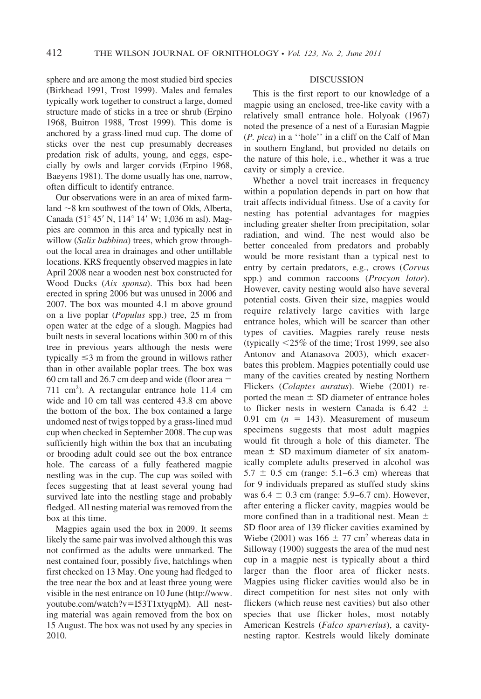sphere and are among the most studied bird species (Birkhead 1991, Trost 1999). Males and females typically work together to construct a large, domed structure made of sticks in a tree or shrub (Erpino 1968, Buitron 1988, Trost 1999). This dome is anchored by a grass-lined mud cup. The dome of sticks over the nest cup presumably decreases predation risk of adults, young, and eggs, especially by owls and larger corvids (Erpino 1968, Baeyens 1981). The dome usually has one, narrow, often difficult to identify entrance.

Our observations were in an area of mixed farmland  $\sim$ 8 km southwest of the town of Olds, Alberta, Canada (51 $^{\circ}$  45' N, 114 $^{\circ}$  14' W; 1,036 m asl). Magpies are common in this area and typically nest in willow (Salix babbina) trees, which grow throughout the local area in drainages and other untillable locations. KRS frequently observed magpies in late April 2008 near a wooden nest box constructed for Wood Ducks (Aix sponsa). This box had been erected in spring 2006 but was unused in 2006 and 2007. The box was mounted 4.1 m above ground on a live poplar (Populus spp.) tree, 25 m from open water at the edge of a slough. Magpies had built nests in several locations within 300 m of this tree in previous years although the nests were typically  $\leq$ 3 m from the ground in willows rather than in other available poplar trees. The box was 60 cm tall and 26.7 cm deep and wide (floor area  $=$ 711 cm2 ). A rectangular entrance hole 11.4 cm wide and 10 cm tall was centered 43.8 cm above the bottom of the box. The box contained a large undomed nest of twigs topped by a grass-lined mud cup when checked in September 2008. The cup was sufficiently high within the box that an incubating or brooding adult could see out the box entrance hole. The carcass of a fully feathered magpie nestling was in the cup. The cup was soiled with feces suggesting that at least several young had survived late into the nestling stage and probably fledged. All nesting material was removed from the box at this time.

Magpies again used the box in 2009. It seems likely the same pair was involved although this was not confirmed as the adults were unmarked. The nest contained four, possibly five, hatchlings when first checked on 13 May. One young had fledged to the tree near the box and at least three young were visible in the nest entrance on 10 June (http://www. youtube.com/watch?v=I53T1xtyqpM). All nesting material was again removed from the box on 15 August. The box was not used by any species in 2010.

### DISCUSSION

This is the first report to our knowledge of a magpie using an enclosed, tree-like cavity with a relatively small entrance hole. Holyoak (1967) noted the presence of a nest of a Eurasian Magpie (P. pica) in a ''hole'' in a cliff on the Calf of Man in southern England, but provided no details on the nature of this hole, i.e., whether it was a true cavity or simply a crevice.

Whether a novel trait increases in frequency within a population depends in part on how that trait affects individual fitness. Use of a cavity for nesting has potential advantages for magpies including greater shelter from precipitation, solar radiation, and wind. The nest would also be better concealed from predators and probably would be more resistant than a typical nest to entry by certain predators, e.g., crows (Corvus spp.) and common raccoons (Procyon lotor). However, cavity nesting would also have several potential costs. Given their size, magpies would require relatively large cavities with large entrance holes, which will be scarcer than other types of cavities. Magpies rarely reuse nests (typically  $\leq$ 25% of the time; Trost 1999, see also Antonov and Atanasova 2003), which exacerbates this problem. Magpies potentially could use many of the cavities created by nesting Northern Flickers (Colaptes auratus). Wiebe (2001) reported the mean  $\pm$  SD diameter of entrance holes to flicker nests in western Canada is  $6.42 \pm$ 0.91 cm  $(n = 143)$ . Measurement of museum specimens suggests that most adult magpies would fit through a hole of this diameter. The mean  $\pm$  SD maximum diameter of six anatomically complete adults preserved in alcohol was  $5.7 \pm 0.5$  cm (range: 5.1–6.3 cm) whereas that for 9 individuals prepared as stuffed study skins was  $6.4 \pm 0.3$  cm (range: 5.9–6.7 cm). However, after entering a flicker cavity, magpies would be more confined than in a traditional nest. Mean  $\pm$ SD floor area of 139 flicker cavities examined by Wiebe (2001) was  $166 \pm 77$  cm<sup>2</sup> whereas data in Silloway (1900) suggests the area of the mud nest cup in a magpie nest is typically about a third larger than the floor area of flicker nests. Magpies using flicker cavities would also be in direct competition for nest sites not only with flickers (which reuse nest cavities) but also other species that use flicker holes, most notably American Kestrels (Falco sparverius), a cavitynesting raptor. Kestrels would likely dominate